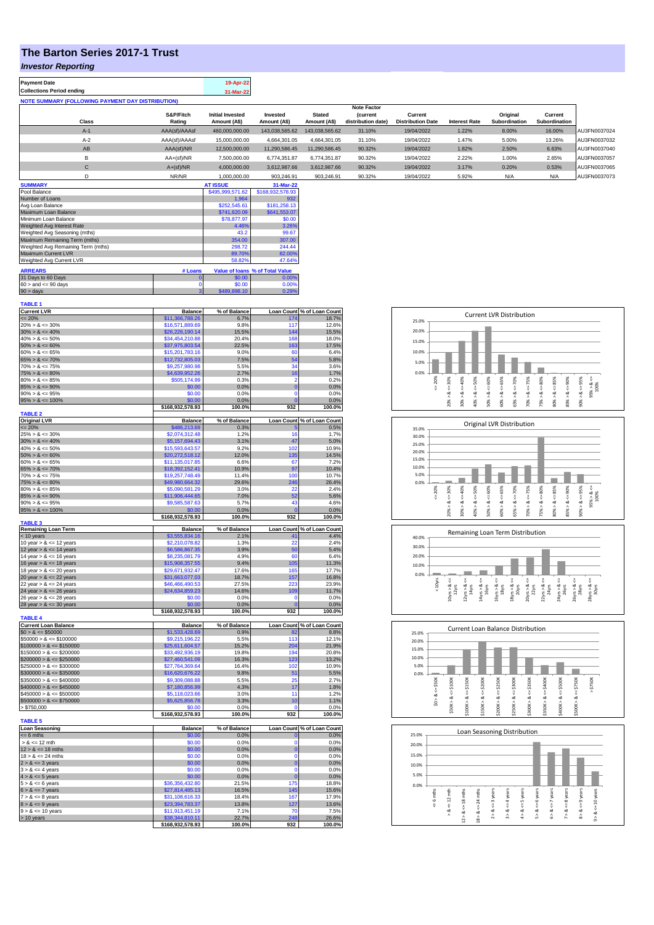## **The Barton Series 2017-1 Trust**

## *Investor Reporting*

| <b>Payment Date</b>                                      | 19-Apr-22 |
|----------------------------------------------------------|-----------|
| <b>Collections Period ending</b>                         | 31-Mar-22 |
| <b>NOTE SUMMARY (FOLLOWING PAYMENT DAY DISTRIBUTION)</b> |           |
|                                                          |           |

|                  |               |                         |                |                | <b>Note Factor</b> |                          |                      |               |               |              |
|------------------|---------------|-------------------------|----------------|----------------|--------------------|--------------------------|----------------------|---------------|---------------|--------------|
|                  | S&P/Fitch     | <b>Initial Invested</b> | Invested       | <b>Stated</b>  | <b>Current</b>     | Current                  |                      | Original      | Current       |              |
| <b>Class</b>     | Rating        | Amount (A\$)            | Amount (A\$)   | Amount (A\$)   | distribution date) | <b>Distribution Date</b> | <b>Interest Rate</b> | Subordination | Subordination |              |
| $A-1$            | AAA(sf)/AAAsf | 460,000,000.00          | 143,038,565.62 | 143.038.565.62 | 31.10%             | 19/04/2022               | 1.22%                | 8.00%         | 16.00%        | AU3FN0037024 |
| $A-2$            | AAA(sf)/AAAsf | 15,000,000,00           | 4.664.301.05   | 4.664.301.05   | 31.10%             | 19/04/2022               | 1.47%                | 5.00%         | 13.26%        | AU3FN0037032 |
| AB               | AAA(sf)/NR    | 12,500,000.00           | 11.290.586.45  | 11.290.586.45  | 90.32%             | 19/04/2022               | 1.82%                | 2.50%         | 6.63%         | AU3FN0037040 |
| в                | $AA+(sf)/NR$  | 7.500.000.00            | 6.774.351.87   | 6.774.351.87   | 90.32%             | 19/04/2022               | 2.22%                | 1.00%         | 2.65%         | AU3FN0037057 |
| $\mathsf{C}$     | $A+(sf)/NR$   | 4.000.000.00            | 3.612.987.66   | 3.612.987.66   | 90.32%             | 19/04/2022               | 3.17%                | 0.20%         | 0.53%         | AU3FN0037065 |
|                  | NR/NR         | 1.000.000.00            | 903.246.91     | 903.246.91     | 90.32%             | 19/04/2022               | 5.92%                | N/A           | N/A           | AU3FN0037073 |
| <b>CURRENTAL</b> |               | AT IOOUT                | $04.88 - 00$   |                |                    |                          |                      |               |               |              |

| <b>SUMMARY</b>                     |         | <b>AT ISSUE</b>  | 31-Mar-22                       |
|------------------------------------|---------|------------------|---------------------------------|
| Pool Balance                       |         | \$495,999,571.62 | \$168,932,578.93                |
| Number of Loans                    |         | 1.964            | 932                             |
| Avg Loan Balance                   |         | \$252,545.61     | \$181,258.13                    |
| Maximum Loan Balance               |         | \$741,620.09     | \$641,553.07                    |
| Minimum Loan Balance               |         | \$78,877.97      | \$0.00                          |
| Weighted Avg Interest Rate         |         | 4.46%            | 3.26%                           |
| Weighted Avg Seasoning (mths)      |         | 43.2             | 99.67                           |
| Maximum Remaining Term (mths)      |         | 354.00           | 307.00                          |
| Weighted Avg Remaining Term (mths) |         | 298.72           | 244.44                          |
| Maximum Current LVR                |         | 89.70%           | 82.00%                          |
| Weighted Avg Current LVR           |         | 58.82%           | 47.64%                          |
| <b>ARREARS</b>                     | # Loans |                  | Value of Ioans % of Total Value |
| 31 Days to 60 Days                 | 0       | \$0.00           | 0.00%                           |
| $60 >$ and $\leq 90$ days          |         | \$0.00           | 0.00%                           |
| $90 >$ days                        | 3       | \$489,898.10     | 0.29%                           |

| <b>TABLE 1</b>              |                                     |                 |                   |                            |
|-----------------------------|-------------------------------------|-----------------|-------------------|----------------------------|
| <b>Current LVR</b>          | <b>Balance</b>                      | % of Balance    |                   | Loan Count % of Loan Count |
| $= 20%$                     | \$11,366,788.26                     | 6.7%            | 174               | 18.7%                      |
| $20\% > 8 \le 30\%$         | \$16,571,889.69                     | 9.8%            | 117               | 12.6%                      |
| $30\% > 8 \le 40\%$         | \$26,226,190.14                     | 15.5%           | 144               | 15.5%                      |
| $40\% > 8 \le 50\%$         | \$34,454,210.88                     | 20.4%           | 168               | 18.0%                      |
| $50\% > 8 \le 60\%$         | \$37,975,803.54                     | 22.5%           | 163               | 17.5%                      |
| $60\% > 8 \le 65\%$         | \$15,201,783.16                     | 9.0%            | 60                | 6.4%                       |
| $65\% > 8 \le 70\%$         | \$12,732,805.03                     | 7.5%            | 54                | 5.8%                       |
| $70\% > 8 \le 75\%$         | \$9,257,980.98                      | 5.5%            | 34                | 3.6%                       |
| $75\% > 8 \le 80\%$         | \$4,639,952.26                      | 2.7%            | 16                | 1.7%                       |
| $80\% > 8 \le 85\%$         | \$505,174.99                        | 0.3%            | $\overline{2}$    | 0.2%                       |
| $85\% > 8 \le 90\%$         | \$0.00                              | 0.0%            | $\mathbf{0}$      | 0.0%                       |
| $90\% > 8 \le 95\%$         | \$0.00                              | 0.0%            | 0                 | 0.0%                       |
| $95\% > 8 \le 100\%$        | \$0.00                              | 0.0%            | O                 | 0.0%                       |
| <b>TABLE 2</b>              | \$168,932,578.93                    | 100.0%          | 932               | 100.0%                     |
| <b>Original LVR</b>         | <b>Balance</b>                      | % of Balance    |                   | Loan Count % of Loan Count |
| $= 20%$                     | \$486,213.69                        | 0.3%            |                   | 0.5%                       |
| $25\% > 8 \le 30\%$         | \$2,074,312.48                      | 1.2%            | 16                | 1.7%                       |
| $30\% > 8 \le 40\%$         | \$5,157,694.43                      | 3.1%            | 47                | 5.0%                       |
| $40\% > 8 \le 50\%$         | \$15,593,643.57                     | 9.2%            | 102               | 10.9%                      |
| $50\% > 8 \le 60\%$         | \$20,272,518.12                     | 12.0%           | 135               | 14.5%                      |
| $60\% > 8 \le 65\%$         | \$11,135,017.85                     | 6.6%            | 67                | 7.2%                       |
| $65\% > 8 \le 70\%$         | \$18,392,152.41                     | 10.9%           | 97                | 10.4%                      |
| $70\% > 8 \le 75\%$         | \$19,257,748.49                     | 11.4%           | 100               | 10.7%                      |
| $75\% > 8 \le 80\%$         | \$49,980,664.32                     | 29.6%           | 246               | 26.4%                      |
| $80\% > 8 \le 85\%$         | \$5,090,581.29                      | 3.0%            | 22                | 2.4%                       |
| $85\% > 8 \le 90\%$         | \$11,906,444.65                     | 7.0%            | 52                | 5.6%                       |
| $90\% > 8 \le 95\%$         | \$9,585,587.63                      | 5.7%            | 43                | 4.6%                       |
| $95\% > 8 \le 100\%$        | \$0.00                              | 0.0%            | $\Omega$          | 0.0%                       |
|                             | \$168,932,578.93                    | 100.0%          | 932               | 100.0%                     |
| <b>TABLE 3</b>              |                                     |                 |                   |                            |
| <b>Remaining Loan Term</b>  | <b>Balance</b>                      | % of Balance    |                   | Loan Count % of Loan Count |
| < 10 years                  | \$3,555,834.16                      | 2.1%            | 41                | 4.4%                       |
| 10 year $> 8 \le 12$ years  | \$2,210,078.82                      | 1.3%            | 22                | 2.4%                       |
| 12 year $> 8 < 14$ years    | \$6,586,867.35                      | 3.9%            | 50                | 5.4%                       |
| 14 year $> 8 \le 16$ years  | \$8,235,081.79                      | 4.9%            | 60                | 6.4%                       |
| 16 year $> 8 \le 18$ years  | \$15,908,357.55                     | 9.4%            | 105               | 11.3%                      |
| 18 year $> 8 \le 20$ years  | \$29,671,932.47                     | 17.6%           | 165               | 17.7%                      |
| 20 year $> 8 \le 22$ years  | \$31,663,077.03                     | 18.7%           | 157               | 16.8%                      |
| 22 year $> 8 \le 24$ years  | \$46,466,490.53                     | 27.5%           | 223               | 23.9%                      |
| 24 year $> 8 \le 26$ years  | \$24,634,859.23                     | 14.6%           | 109<br>$\Omega$   | 11.7%                      |
| 26 year > & <= 28 years     | \$0.00                              | 0.0%            | $\overline{0}$    | 0.0%                       |
| 28 year $> 8 \le 30$ years  | \$0.00                              | 0.0%<br>100.0%  | 932               | 0.0%<br>100.0%             |
| <b>TABLE 4</b>              | \$168,932,578.93                    |                 |                   |                            |
| <b>Current Loan Balance</b> | <b>Balance</b>                      | % of Balance    | <b>Loan Count</b> | % of Loan Count            |
| $$0 > 8 \le $50000$         | \$1,533,428.69                      | 0.9%            | 82                | 8.8%                       |
| $$50000 > 8 \le $100000$    | \$9,215,196.22                      | 5.5%            | 113               | 12.1%                      |
| $$100000 > 8 \le $150000$   | \$25,611,604.57                     | 15.2%           | 204               | 21.9%                      |
| $$150000 > 8 \le $200000$   | \$33,492,936.19                     | 19.8%           | 194               | 20.8%                      |
| $$200000 > 8 \leq $250000$  | \$27,460,541.09                     | 16.3%           | 123               | 13.2%                      |
| $$250000 > 8 \leq $300000$  | \$27,764,369.64                     | 16.4%           | 102               | 10.9%                      |
| $$300000 > 8 \leq $350000$  | \$16,620,676.22                     | 9.8%            | 51                | 5.5%                       |
| $$350000 > 8 \leq $400000$  | \$9,309,088.88                      | 5.5%            | 25                | 2.7%                       |
| $$400000 > 8 \le $450000$   | \$7,180,856.99                      | 4.3%            | 17                | 1.8%                       |
| $$450000 > 8 \le $500000$   | \$5,118,023.66                      | 3.0%            | 11                | 1.2%                       |
| $$500000 > 8 \le $750000$   | \$5,625,856.78                      | 3.3%            | 10                | 1.1%                       |
| > \$750,000                 | \$0.00                              | 0.0%            | 0                 | 0.0%                       |
|                             | \$168,932,578.93                    | 100.0%          | 932               | 100.0%                     |
| <b>TABLE 5</b>              |                                     |                 |                   |                            |
| <b>Loan Seasoning</b>       | <b>Balance</b>                      | % of Balance    |                   | Loan Count % of Loan Count |
| $= 6$ mths                  | \$0.00                              | 0.0%            | $\overline{0}$    | 0.0%                       |
| $> 8 \le 12$ mth            | \$0.00                              | 0.0%            | $\Omega$          | 0.0%                       |
| $12 > 8 \le 18$ mths        | \$0.00                              | 0.0%            | $\mathbf 0$       | 0.0%                       |
| $18 > 8 \le 24$ mths        | \$0.00                              | 0.0%            | $\Omega$          | 0.0%                       |
| $2 > 8 \leq 3$ years        | \$0.00                              | 0.0%            | $\Omega$          | 0.0%                       |
| $3 > 8 \leq 4$ years        | \$0.00                              | 0.0%            | $\mathbf 0$       | 0.0%                       |
| $4 > 8 \le 5$ years         | \$0.00                              | 0.0%            | $\mathbf 0$       | 0.0%                       |
| $5 > 8 \le 6$ years         | \$36,356,432.80                     | 21.5%           | 175               | 18.8%                      |
| $6 > 8 \le 7$ years         | \$27,814,485.13                     | 16.5%           | 145               | 15.6%                      |
| $7 > 8 \le 8$ years         | \$31,108,616.33                     | 18.4%           | 167               | 17.9%                      |
| $8 > 8 \le 9$ years         | \$23,394,783.37                     | 13.8%           | 127               | 13.6%                      |
| $9 > 8 \le 10$ years        | \$11,913,451.19                     | 7.1%            | 70                | 7.5%                       |
| > 10 years                  | \$38,344,810.11<br>\$168,932,578.93 | 22.7%<br>100.0% | 248<br>932        | 26.6%<br>100.0%            |
|                             |                                     |                 |                   |                            |









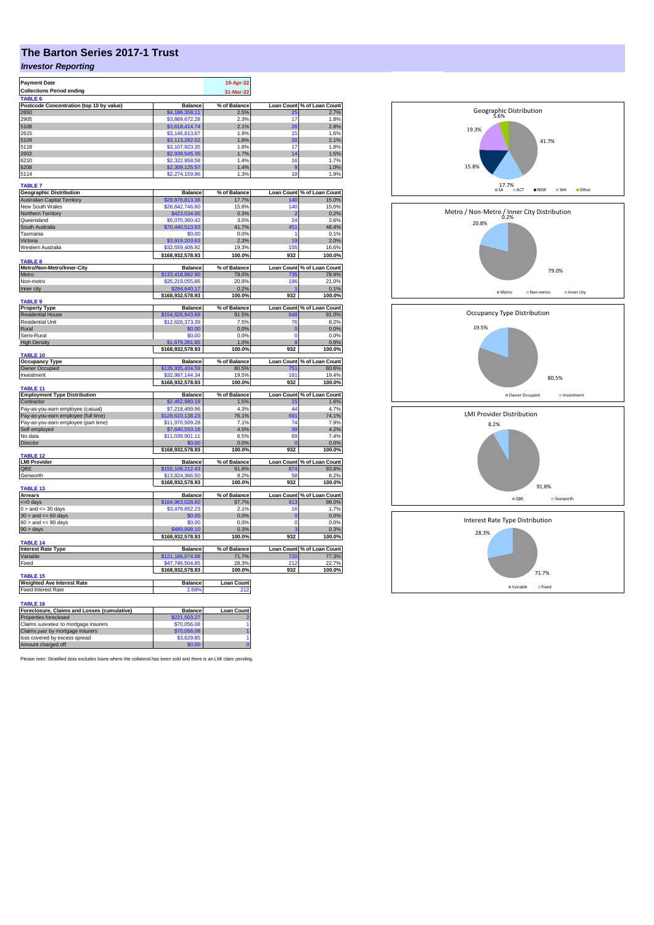## **The Barton Series 2017-1 Trust**

## *Investor Reporting*

| <b>Payment Date</b>                                                   |                                     | 19-Apr-22         |                   |                                     |
|-----------------------------------------------------------------------|-------------------------------------|-------------------|-------------------|-------------------------------------|
| <b>Collections Period ending</b>                                      |                                     | 31-Mar-22         |                   |                                     |
|                                                                       |                                     |                   |                   |                                     |
| Postcode Concentration (top 10 by value)                              | <b>Balance</b>                      | % of Balance      | Loan Count        | % of Loan Count                     |
| 2650<br>2905                                                          | \$4,186,358.11                      | 2.5%<br>2.3%      | 17                | 2.7%<br>1.8%                        |
| 5108                                                                  | \$3,869,672.28<br>\$3,618,414.74    | 2.1%              | 26                | 2.8%                                |
| 2615                                                                  | \$3,146,813.67                      | 1.9%              | 15                | 1.6%                                |
| 5109                                                                  | \$3,113,282.02                      | 1.8%              | 20                | 2.1%                                |
| 5118                                                                  | \$3,107,923.35                      | 1.8%              | 17                | 1.8%                                |
| 2602                                                                  | \$2,939,545.35                      | 1.7%              | 14                | 1.5%                                |
| 6210                                                                  | \$2,322,958.58                      | 1.4%              | 16                | 1.7%                                |
| 6208                                                                  | \$2,309,125.57                      | 1.4%              | ¢                 | 1.0%                                |
| 5114                                                                  | \$2,274,159.96                      | 1.3%              | 18                | 1.9%                                |
| <b>TABLE 7</b>                                                        |                                     |                   |                   |                                     |
|                                                                       |                                     |                   |                   |                                     |
| <b>Geographic Distribution</b><br><b>Australian Capital Territory</b> | Balance<br>\$29,876,813.38          | % of Balance      | 140               | Loan Count % of Loan Count<br>15.0% |
| New South Wales                                                       | \$26,642,746.60                     | 17.7%<br>15.8%    | 140               | 15.0%                               |
| Northern Territory                                                    | \$423,534.05                        | 0.3%              | 2                 | 0.2%                                |
| Queensland                                                            | \$5,070,360.42                      | 3.0%              | 24                | 2.6%                                |
| South Australia                                                       | \$70,440,513.93                     | 41.7%             | 451               | 48.4%                               |
| Tasmania                                                              | \$0.00                              | 0.0%              | 1                 | 0.1%                                |
| Victoria                                                              | \$3,919,203.63                      | 2.3%              | 19                | 2.0%                                |
| Western Australia                                                     | \$32,559,406.92                     | 19.3%             | 155               | 16.6%                               |
|                                                                       | \$168,932,578.93                    | 100.0%            | 932               | 100.0%                              |
| <b>TABLE 8</b>                                                        |                                     |                   |                   |                                     |
| Metro/Non-Metro/Inner-City                                            | <b>Balance</b>                      | % of Balance      | <b>Loan Count</b> | % of Loan Count                     |
| Metro                                                                 | \$133,418,882.90                    | 79.0%             | 735               | 78.9%                               |
| Non-metro                                                             | \$35,219,055.86                     | 20.8%             | 196               | 21.0%                               |
| Inner city                                                            | \$294,640.17                        | 0.2%              |                   | 0.1%                                |
| TABLE 9                                                               | \$168,932,578.93                    | 100.0%            | 932               | 100.0%                              |
| <b>Property Type</b>                                                  | <b>Balance</b>                      | % of Balance      |                   | Loan Count % of Loan Count          |
| <b>Residential House</b>                                              | \$154,626,943.69                    | 91.5%             | 848               | 91.0%                               |
| <b>Residential Unit</b>                                               | \$12,626,373.39                     | 7.5%              | 76                | 8.2%                                |
| Rural                                                                 | \$0.00                              | 0.0%              | $\mathbf{0}$      | 0.0%                                |
| Semi-Rural                                                            | \$0.00                              | 0.0%              | $\mathbf 0$       | 0.0%                                |
| <b>High Density</b>                                                   | \$1,679,261.85                      | 1.0%              |                   | 0.9%                                |
|                                                                       | \$168,932,578.93                    | 100.0%            | 932               | 100.0%                              |
| TABLE 10                                                              |                                     |                   |                   |                                     |
| <b>Occupancy Type</b>                                                 | <b>Balance</b>                      | % of Balance      |                   | Loan Count % of Loan Count          |
| <b>Owner Occupied</b>                                                 | \$135,935,434.59                    | 80.5%             | 751               | 80.6%                               |
| Investment                                                            | \$32,997,144.34                     | 19.5%             | 181               | 19.4%                               |
|                                                                       | \$168,932,578.93                    | 100.0%            | 932               | 100.0%                              |
| <b>TABLE 11</b><br><b>Employment Type Distribution</b>                | <b>Balance</b>                      | % of Balance      | <b>Loan Count</b> | % of Loan Count                     |
| Contractor                                                            | \$2,452,980.19                      | 1.5%              | 15                | 1.6%                                |
| Pay-as-you-earn employee (casual)                                     | \$7.218.499.96                      | 4.3%              | 44                | 4.7%                                |
| Pay-as-you-earn employee (full time)                                  | \$128,610,138.23                    | 76.1%             | 691               | 74.1%                               |
| Pay-as-you-earn employee (part time)                                  | \$11.970.509.28                     | 7.1%              | 74                | 7.9%                                |
| Self employed                                                         | \$7,640,550.16                      | 4.5%              | 39                | 4.2%                                |
| No data                                                               | \$11,039,901.11                     | 6.5%              | 69                | 74%                                 |
| Director                                                              | \$0.00                              | 0.0%              |                   | 0.0%                                |
|                                                                       | \$168,932,578.93                    | 100.0%            | 932               | 100.0%                              |
| TABLE 12                                                              |                                     |                   |                   |                                     |
| <b>LMI Provider</b>                                                   | <b>Balance</b>                      | % of Balance      |                   | Loan Count % of Loan Count          |
| QBE                                                                   | \$155,108,212.43                    | 91.8%             | 874               | 93.8%                               |
| Genworth                                                              | \$13,824,366.50                     | 8.2%              | 58                | 6.2%                                |
| <b>TABLE 13</b>                                                       | \$168,932,578.93                    | 100.0%            | 932               | 100.0%                              |
| <b>Arrears</b>                                                        | Balance                             | % of Balance      |                   | Loan Count % of Loan Count          |
| <= 0 days                                                             | \$164,963,028.60                    | 97.7%             | 913               | 98.0%                               |
| $0 >$ and $\leq$ 30 days                                              | \$3,479,652.23                      | 2.1%              | 16                | 1 7%                                |
| $30 >$ and $\leq 60$ days                                             | \$0.00                              | 0.0%              | $\overline{0}$    | 0.0%                                |
| $60 >$ and $\leq 90$ days                                             | \$0.00                              | 0.0%              | $\Omega$          | 0.0%                                |
| 90 > days                                                             | \$489,898.10                        | 0.3%              | 3                 | 0.3%                                |
|                                                                       | \$168,932,578.93                    | 100.0%            | 932               | 100.0%                              |
| <b>TABLE 14</b>                                                       |                                     |                   |                   |                                     |
| <b>Interest Rate Type</b>                                             | <b>Balance</b>                      | % of Balance      |                   | Loan Count % of Loan Count          |
| Variable                                                              | \$121,186,074.08                    | 71.7%             | 720               | 77.3%                               |
| Fixed                                                                 | \$47,746,504.85<br>\$168,932,578.93 | 28.3%<br>100.0%   | 212<br>932        | 22.7%<br>100.0%                     |
| <b>TABLE 15</b>                                                       |                                     |                   |                   |                                     |
| <b>Weighted Ave Interest Rate</b>                                     | <b>Balance</b>                      | <b>Loan Count</b> |                   |                                     |
| <b>Fixed Interest Rate</b>                                            | 2.69%                               | 212               |                   |                                     |
|                                                                       |                                     |                   |                   |                                     |
| <b>TABLE 16</b>                                                       |                                     |                   |                   |                                     |
| Foreclosure, Claims and Losses (cumulative)                           | <b>Balance</b>                      | <b>Loan Count</b> |                   |                                     |
| Properties foreclosed                                                 | 221,503.27                          |                   |                   |                                     |
| Claims submitted to mortgage insurers                                 | \$70,056,08                         |                   |                   |                                     |
| Claims paid by mortgage insurers                                      | \$70,056.08                         |                   |                   |                                     |
| loss covered by excess spread                                         | \$3,629.85                          |                   |                   |                                     |
| Amount charged off                                                    | \$0.00                              |                   |                   |                                     |

Please note: Stratified data excludes loans where the collateral has been sold and there is an LMI claim pending.